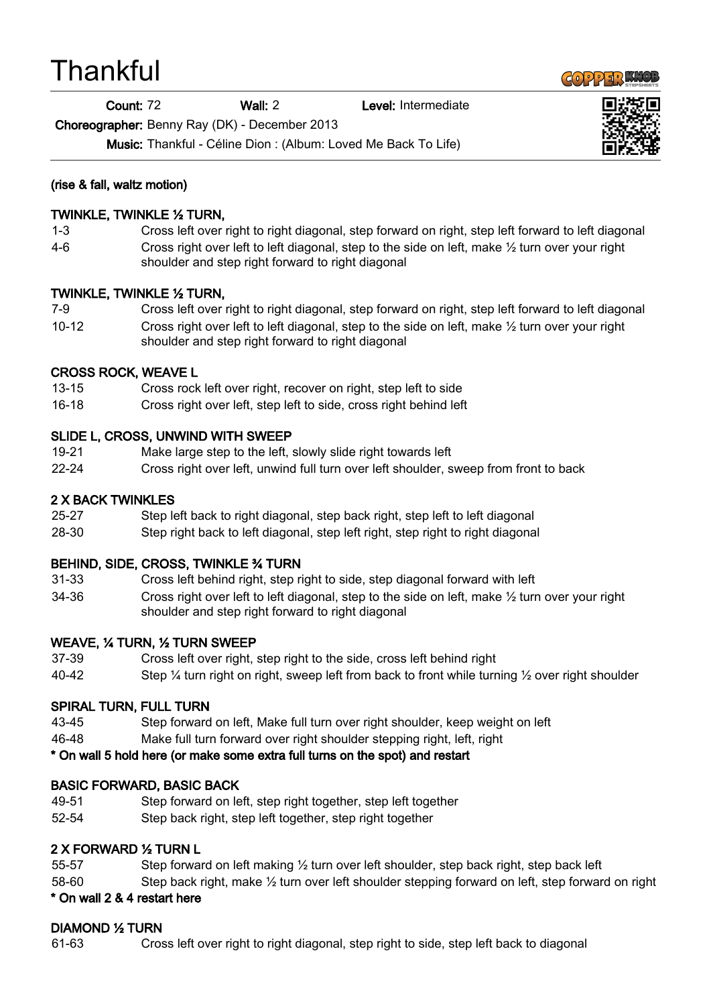# **Thankful**

Count: 72 Wall: 2 Level: Intermediate

Choreographer: Benny Ray (DK) - December 2013

Music: Thankful - Céline Dion : (Album: Loved Me Back To Life)





#### (rise & fall, waltz motion)

#### TWINKLE, TWINKLE ½ TURN,

- 1-3 Cross left over right to right diagonal, step forward on right, step left forward to left diagonal
- 4-6 Cross right over left to left diagonal, step to the side on left, make ½ turn over your right shoulder and step right forward to right diagonal

## TWINKLE, TWINKLE ½ TURN,

7-9 Cross left over right to right diagonal, step forward on right, step left forward to left diagonal 10-12 Cross right over left to left diagonal, step to the side on left, make ½ turn over your right shoulder and step right forward to right diagonal

## CROSS ROCK, WEAVE L

- 13-15 Cross rock left over right, recover on right, step left to side
- 16-18 Cross right over left, step left to side, cross right behind left

#### SLIDE L, CROSS, UNWIND WITH SWEEP

- 19-21 Make large step to the left, slowly slide right towards left
- 22-24 Cross right over left, unwind full turn over left shoulder, sweep from front to back

#### 2 X BACK TWINKLES

- 25-27 Step left back to right diagonal, step back right, step left to left diagonal
- 28-30 Step right back to left diagonal, step left right, step right to right diagonal

## BEHIND, SIDE, CROSS, TWINKLE ¾ TURN

- 31-33 Cross left behind right, step right to side, step diagonal forward with left
- 34-36 Cross right over left to left diagonal, step to the side on left, make ½ turn over your right shoulder and step right forward to right diagonal

#### WEAVE, ¼ TURN, ½ TURN SWEEP

- 37-39 Cross left over right, step right to the side, cross left behind right
- 40-42 Step ¼ turn right on right, sweep left from back to front while turning ½ over right shoulder

## SPIRAL TURN, FULL TURN

- 43-45 Step forward on left, Make full turn over right shoulder, keep weight on left
- 46-48 Make full turn forward over right shoulder stepping right, left, right

## \* On wall 5 hold here (or make some extra full turns on the spot) and restart

## BASIC FORWARD, BASIC BACK

- 49-51 Step forward on left, step right together, step left together
- 52-54 Step back right, step left together, step right together

## 2 X FORWARD ½ TURN L

- 55-57 Step forward on left making 1/2 turn over left shoulder, step back right, step back left
- 58-60 Step back right, make  $\frac{1}{2}$  turn over left shoulder stepping forward on left, step forward on right

#### \* On wall 2 & 4 restart here

## DIAMOND ½ TURN

61-63 Cross left over right to right diagonal, step right to side, step left back to diagonal